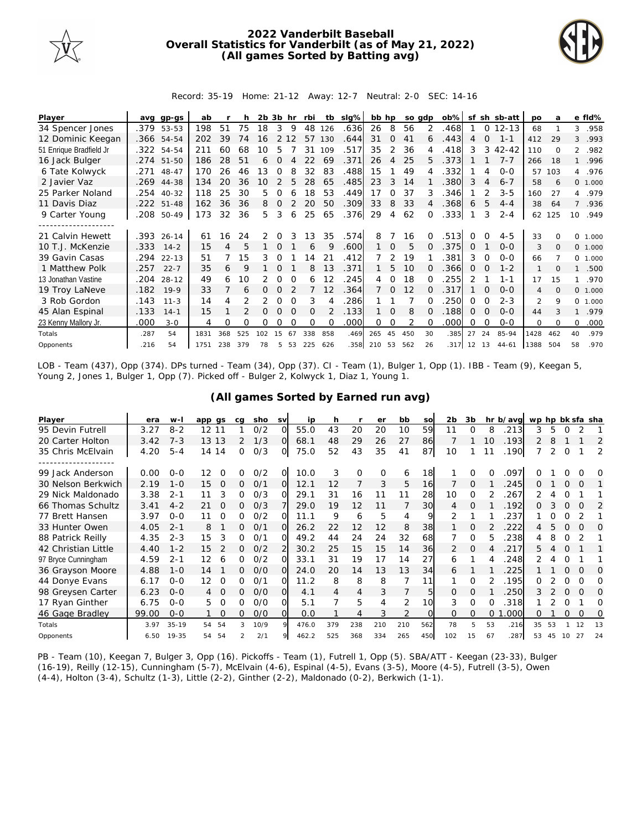

## **2022 Vanderbilt Baseball Overall Statistics for Vanderbilt (as of May 21, 2022) (All games Sorted by Batting avg)**



Record: 35-19 Home: 21-12 Away: 12-7 Neutral: 2-0 SEC: 14-16

| Player                  | avg  | gp-gs      | ab   |     | h   | 2b. | 3b            | hr       | rbi      | tb  | $slq\%$ | bb hp  |                | so gdp         |              | $ob\%$ | sf       |          | sh sb-att | <b>DO</b>      | a        |                | e fld%   |
|-------------------------|------|------------|------|-----|-----|-----|---------------|----------|----------|-----|---------|--------|----------------|----------------|--------------|--------|----------|----------|-----------|----------------|----------|----------------|----------|
| 34 Spencer Jones        |      | .379 53-53 | 198  | 51  | 75  | 18  | 3             | 9        | 48       | 126 | .636    | 26     | 8              | 56             | 2            | .468   |          | $\circ$  | $12 - 13$ | 68             |          | 3              | .958     |
| 12 Dominic Keegan       |      | .366 54-54 | 202  | 39  | 74  | 16  | 2             | 12       | 57       | 130 | .644    | 31     | $\Omega$       | 41             | 6            | .443   | 4        | $\Omega$ | $1 - 1$   | 412            | 29       | 3              | .993     |
| 51 Enrique Bradfield Jr | .322 | 54-54      | 211  | 60  | 68  | 10  | 5             |          | 31       | 109 | .517    | 35     | 2              | 36             |              | 418    | 3        | 3        | $42 - 42$ | 110            | $\Omega$ | $\overline{2}$ | .982     |
| 16 Jack Bulger          | .274 | $51 - 50$  | 186  | 28  | 51  | 6   | $\Omega$      |          | 22       | 69  | .371    | 26     | $\overline{A}$ | 25             | 5.           | .373   |          |          | $7 - 7$   | 266            | 18       |                | .996     |
| 6 Tate Kolwyck          | .271 | 48-47      | 170  | 26  | 46  | 13  | <sup>o</sup>  |          | 32       | 83  | .488    | 15     |                | 49             |              | .332   |          | 4        | $O-O$     | 57             | 103      |                | 4.976    |
| 2 Javier Vaz            | .269 | 44-38      | 134  | 20  | 36  | 10  | $\mathcal{P}$ | 5        | 28       | 65  | .485    | 23     | 3              | 14             |              | 380    | 3        | 4        | $6 - 7$   | 58             | 6        |                | 0, 1,000 |
| 25 Parker Noland        | .254 | $40 - 32$  | 118  | 25  | 30  | 5.  | 0             | 6        | 18       | 53  | .449    | 17     | <sup>o</sup>   | 37             | 3            | .346   |          |          | $3 - 5$   | 160            | 27       |                | 4.979    |
| 11 Davis Diaz           |      | .222 51-48 | 162  | 36  | 36  | 8   | $\Omega$      |          | 20       | 50  | .309    | 33     | 8              | 33             |              | .368   | 6        | 5        | $4 - 4$   | 38             | 64       | $\overline{7}$ | .936     |
| 9 Carter Young          | .208 | 50-49      | 173  | 32  | 36  | 5.  | 3             | 6        | 25       | 65  | .376    | 29     | 4              | 62             |              | .333   |          | 3        | $2 - 4$   | 62             | 125      | 10             | .949     |
| . <u>.</u> .            |      |            |      |     |     |     |               |          |          |     |         |        |                |                |              |        |          |          |           |                |          |                |          |
| 21 Calvin Hewett        | .393 | $26 - 14$  | 61   | 16  | 24  | 2   | $\Omega$      |          | 13       | 35  | .574    | 8      |                | 16             |              | 513    | O        |          | $4 - 5$   | 33             |          | $\Omega$       | 1.000    |
| 10 T.J. McKenzie        | .333 | $14 - 2$   | 15   | 4   | 5   |     | $\Omega$      |          | 6        | 9   | .600    | 1      | $\Omega$       | 5              |              | .375   | $\Omega$ |          | $0 - 0$   | 3              | $\Omega$ |                | 0 1.000  |
| 39 Gavin Casas          | .294 | $22 - 13$  | 51   |     | 15  | 3   | 0             |          | 14       | 21  | .412    |        | 2              | 19             |              | 381    | 3        | $\Omega$ | $O-O$     | 66             |          | $\circ$        | 1.000    |
| 1 Matthew Polk          | .257 | $22 - 7$   | 35   | 6   | 9   |     | $\Omega$      |          | 8        | 13  | .371    |        | 5.             | 10             |              | .366   | $\Omega$ | $\Omega$ | $1 - 2$   |                | $\Omega$ |                | .500     |
| 13 Jonathan Vastine     | .204 | $28 - 12$  | 49   | 6   | 10  | 2   | $\Omega$      | $\Omega$ | 6        | 12  | 245     | 4      | $\Omega$       | 18             |              | .255   | 2        |          | $1 - 1$   | 17             | 15       |                | .970     |
| 19 Troy LaNeve          | .182 | $19-9$     | 33   |     | 6   | 0   | $\Omega$      |          |          | 12  | .364    |        | $\Omega$       | 12             |              | 317    |          |          | $0 - 0$   | 4              | $\Omega$ | $\Omega$       | 1.000    |
| 3 Rob Gordon            | .143 | $11 - 3$   | 14   | 4   |     |     | $\Omega$      | $\Omega$ | 3        |     | 286     |        |                |                |              | 250    | 0        | 0        | $2 - 3$   | $\mathfrak{D}$ | 9        | $\Omega$       | 1.000    |
| 45 Alan Espinal         | .133 | $14 - 1$   | 15   |     |     | 0   | $\Omega$      | $\Omega$ | $\Omega$ |     | .133    |        | $\Omega$       | 8              | <sup>n</sup> | .188   | $\Omega$ | $\Omega$ | $O-O$     | 44             |          |                | .979     |
| 23 Kenny Mallory Jr.    | .000 | $3 - 0$    | 4    | Ω   | Ω   | 0   | O             |          | O        | O   | .000    | 0      | $\Omega$       | $\overline{2}$ | $\Omega$     | .000   | O        | $\Omega$ | $O-O$     | $\Omega$       | $\Omega$ | $\Omega$       | .000     |
| Totals                  | .287 | 54         | 1831 | 368 | 525 | 102 | 15            | 67       | 338      | 858 | .469    | 265    | 45             | 450            | 30           | .385   | 27       | 24       | 85-94     | 1428           | 462      | 40             | .979     |
| Opponents               | .216 | 54         | 1751 | 238 | 379 | 78  | 5.            | 53       | 225      | 626 | .358    | 210 53 |                | 562            | 26           | .317   | 12 13    |          | $44 - 61$ | 1388           | 504      | 58             | .970     |

LOB - Team (437), Opp (374). DPs turned - Team (34), Opp (37). CI - Team (1), Bulger 1, Opp (1). IBB - Team (9), Keegan 5, Young 2, Jones 1, Bulger 1, Opp (7). Picked off - Bulger 2, Kolwyck 1, Diaz 1, Young 1.

| Player               | era   | $W -$     | app gs         | ca | sho  | <b>SV</b> | ip    | h   |          | er       | bb  | SO       | 2 <sub>b</sub> | 3b       |    | hr b/avg | wp hp bk sfa sha |    |          |          |    |
|----------------------|-------|-----------|----------------|----|------|-----------|-------|-----|----------|----------|-----|----------|----------------|----------|----|----------|------------------|----|----------|----------|----|
| 95 Devin Futrell     | 3.27  | $8 - 2$   | 12 11          |    | O/2  | $\Omega$  | 55.0  | 43  | 20       | 20       | 10  | 59       | 11             | O        | 8  | 213      | 3                | 5  | 0        |          |    |
| 20 Carter Holton     | 3.42  | $7 - 3$   | 13 13          | 2  | 1/3  | $\Omega$  | 68.1  | 48  | 29       | 26       | 27  | 86       |                |          | 10 | .193     | 2                | 8  |          |          | 2  |
| 35 Chris McElvain    | 4.20  | $5 - 4$   | 14 14          | 0  | O/3  | 0         | 75.0  | 52  | 43       | 35       | 41  | 87       | 10             |          |    | .190     |                  | 2  | O        |          | 2  |
| -------------------- |       |           |                |    |      |           |       |     |          |          |     |          |                |          |    |          |                  |    |          |          |    |
| 99 Jack Anderson     | 0.00  | $O - O$   | 12<br>$\Omega$ | 0  | O/2  | $\Omega$  | 10.0  | 3   | $\Omega$ | $\Omega$ | 6   | 18       |                | $\Omega$ |    | 097      |                  |    |          |          | O  |
| 30 Nelson Berkwich   | 2.19  | $1 - 0$   | 15<br>$\Omega$ | 0  | 0/1  | $\Omega$  | 12.1  | 12  | 7        | 3        | 5   | 16       |                | $\Omega$ |    | 245      | 0                |    | $\Omega$ | $\Omega$ |    |
| 29 Nick Maldonado    | 3.38  | $2 - 1$   | 3<br>11        | 0  | O/3  | ∩         | 29.1  | 31  | 16       | 11       | 11  | 28       | 10             | $\Omega$ |    | 267      |                  |    |          |          |    |
| 66 Thomas Schultz    | 3.41  | $4 - 2$   | 21<br>0        | 0  | O/3  |           | 29.0  | 19  | 12       | 11       |     | 30       | 4              | O        |    | .192     | 0                | 3  | 0        | $\Omega$ | 2  |
| 77 Brett Hansen      | 3.97  | $O - O$   | 11             | 0  | 0/2  |           | 11.1  | 9   | 6        | 5        | 4   | 9        | 2              |          |    | 237      |                  |    |          |          |    |
| 33 Hunter Owen       | 4.05  | $2 - 1$   | 8              | 0  | O/1  | $\Omega$  | 26.2  | 22  | 12       | 12       | 8   | 38       |                | $\Omega$ |    | 222      | 4                | 5  | $\Omega$ | $\Omega$ | O  |
| 88 Patrick Reilly    | 4.35  | $2 - 3$   | 3<br>15        | 0  | 0/1  | $\Omega$  | 49.2  | 44  | 24       | 24       | 32  | 68       |                | $\Omega$ | 5  | 238      | 4                | 8  | Ω        |          |    |
| 42 Christian Little  | 4.40  | $1 - 2$   | 15             | 0  | O/2  |           | 30.2  | 25  | 15       | 15       | 14  | 36       | 2              | $\Omega$ |    | 217      | 5.               |    | O        |          |    |
| 97 Bryce Cunningham  | 4.59  | $2 - 1$   | 12<br>6        | 0  | O/2  | ∩         | 33.1  | 31  | 19       | 17       | 14  | 27       | 6              |          |    | .248     |                  |    | O        |          |    |
| 36 Grayson Moore     | 4.88  | $1 - 0$   | 14             | 0  | O/O  | $\Omega$  | 24.0  | 20  | 14       | 13       | 13  | 34       | 6              |          |    | 225      |                  |    |          | $\Omega$ | O  |
| 44 Donye Evans       | 6.17  | $0 - 0$   | 12<br>O        | 0  | O/1  | O         | 11.2  | 8   | 8        | 8        | 7   | 11       |                | $\Omega$ |    | .195     | 0                |    | 0        | 0        | 0  |
| 98 Greysen Carter    | 6.23  | $O - O$   |                | 0  | O/O  | ΩI        | 4.1   | 4   | 4        | 3        |     | 5        | $\Omega$       | $\Omega$ |    | 250      | 3                |    | $\Omega$ | $\Omega$ | O  |
| 17 Ryan Ginther      | 6.75  | $O - O$   | 5.             | 0  | O/O  | O         | 5.1   |     | 5        | 4        | 2   | 10       | 3              | $\Omega$ | ∩  | .318     |                  |    | $\Omega$ |          | Ω  |
| 46 Gage Bradley      | 99.00 | $0 - 0$   | $\Omega$       | 0  | O/O  | $\Omega$  | 0.0   |     | 4        | 3        | 2   | $\Omega$ | $\Omega$       | $\Omega$ | 0  | .000     | 0                |    | $\Omega$ | $\Omega$ | Ω  |
| Totals               | 3.97  | $35 - 19$ | 54 54          | 3  | 10/9 | $\circ$   | 476.0 | 379 | 238      | 210      | 210 | 562      | 78             | 5        | 53 | .216     | 35               | 53 |          | 12       | 13 |
| Opponents            | 6.50  | 19-35     | 54 54          | 2  | 2/1  |           | 462.2 | 525 | 368      | 334      | 265 | 450      | 102            | 15       | 67 | 287      | 53               | 45 | 10       | 27       | 24 |

**(All games Sorted by Earned run avg)**

PB - Team (10), Keegan 7, Bulger 3, Opp (16). Pickoffs - Team (1), Futrell 1, Opp (5). SBA/ATT - Keegan (23-33), Bulger (16-19), Reilly (12-15), Cunningham (5-7), McElvain (4-6), Espinal (4-5), Evans (3-5), Moore (4-5), Futrell (3-5), Owen (4-4), Holton (3-4), Schultz (1-3), Little (2-2), Ginther (2-2), Maldonado (0-2), Berkwich (1-1).